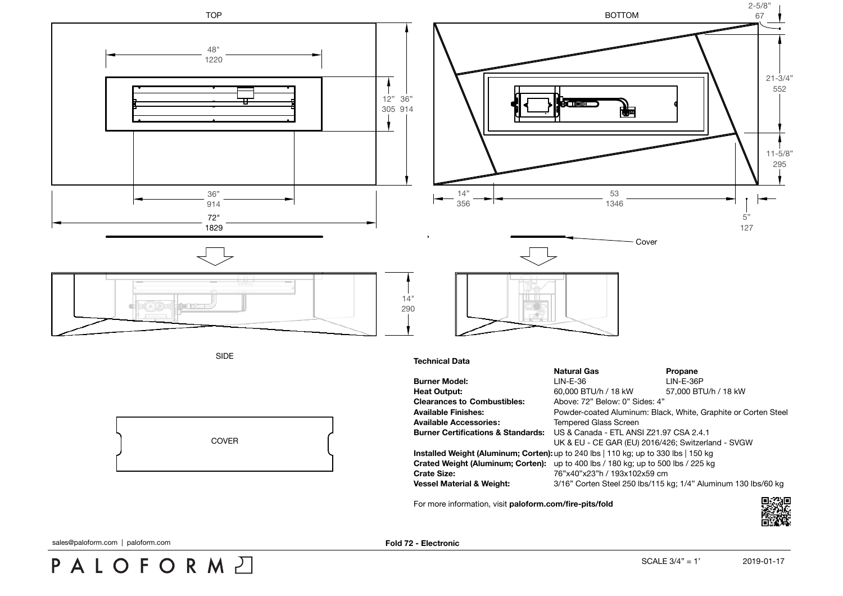

sales@paloform.com | paloform.com **Fold 72 - Electronic**

PALOFORMA